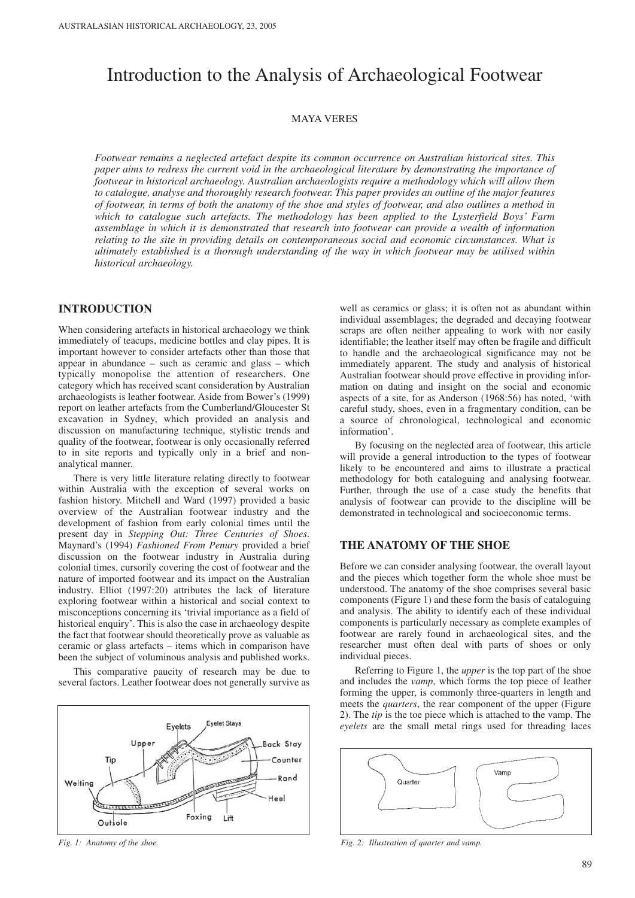# Introduction to the Analysis of Archaeological Footwear

## MAYA VERES

*Footwear remains a neglected artefact despite its common occurrence on Australian historical sites. This paper aims to redress the current void in the archaeological literature by demonstrating the importance of footwear in historical archaeology. Australian archaeologists require a methodology which will allow them to catalogue, analyse and thoroughly research footwear. This paper provides an outline of the major features of footwear, in terms of both the anatomy of the shoe and styles of footwear, and also outlines a method in which to catalogue such artefacts. The methodology has been applied to the Lysterfield Boys' Farm assemblage in which it is demonstrated that research into footwear can provide a wealth of information relating to the site in providing details on contemporaneous social and economic circumstances. What is ultimately established is a thorough understanding of the way in which footwear may be utilised within historical archaeology.* 

# **INTRODUCTION**

When considering artefacts in historical archaeology we think immediately of teacups, medicine bottles and clay pipes. It is important however to consider artefacts other than those that appear in abundance – such as ceramic and glass – which typically monopolise the attention of researchers. One category which has received scant consideration by Australian archaeologists is leather footwear. Aside from Bower's (1999) report on leather artefacts from the Cumberland/Gloucester St excavation in Sydney, which provided an analysis and discussion on manufacturing technique, stylistic trends and quality of the footwear, footwear is only occasionally referred to in site reports and typically only in a brief and nonanalytical manner.

There is very little literature relating directly to footwear within Australia with the exception of several works on fashion history. Mitchell and Ward (1997) provided a basic overview of the Australian footwear industry and the development of fashion from early colonial times until the present day in *Stepping Out: Three Centuries of Shoes*. Maynard's (1994) *Fashioned From Penury* provided a brief discussion on the footwear industry in Australia during colonial times, cursorily covering the cost of footwear and the nature of imported footwear and its impact on the Australian industry. Elliot (1997:20) attributes the lack of literature exploring footwear within a historical and social context to misconceptions concerning its 'trivial importance as a field of historical enquiry'. This is also the case in archaeology despite the fact that footwear should theoretically prove as valuable as ceramic or glass artefacts – items which in comparison have been the subject of voluminous analysis and published works.

This comparative paucity of research may be due to several factors. Leather footwear does not generally survive as



well as ceramics or glass; it is often not as abundant within individual assemblages; the degraded and decaying footwear scraps are often neither appealing to work with nor easily identifiable; the leather itself may often be fragile and difficult to handle and the archaeological significance may not be immediately apparent. The study and analysis of historical Australian footwear should prove effective in providing information on dating and insight on the social and economic aspects of a site, for as Anderson (1968:56) has noted, 'with careful study, shoes, even in a fragmentary condition, can be a source of chronological, technological and economic information'.

By focusing on the neglected area of footwear, this article will provide a general introduction to the types of footwear likely to be encountered and aims to illustrate a practical methodology for both cataloguing and analysing footwear. Further, through the use of a case study the benefits that analysis of footwear can provide to the discipline will be demonstrated in technological and socioeconomic terms.

# **THE ANATOMY OF THE SHOE**

Before we can consider analysing footwear, the overall layout and the pieces which together form the whole shoe must be understood. The anatomy of the shoe comprises several basic components (Figure 1) and these form the basis of cataloguing and analysis. The ability to identify each of these individual components is particularly necessary as complete examples of footwear are rarely found in archaeological sites, and the researcher must often deal with parts of shoes or only individual pieces.

Referring to Figure 1, the *upper* is the top part of the shoe and includes the *vamp*, which forms the top piece of leather forming the upper, is commonly three-quarters in length and meets the *quarters*, the rear component of the upper (Figure 2). The *tip* is the toe piece which is attached to the vamp. The *eyelets* are the small metal rings used for threading laces



*Fig. 1: Anatomy of the shoe. Fig. 2: Illustration of quarter and vamp.*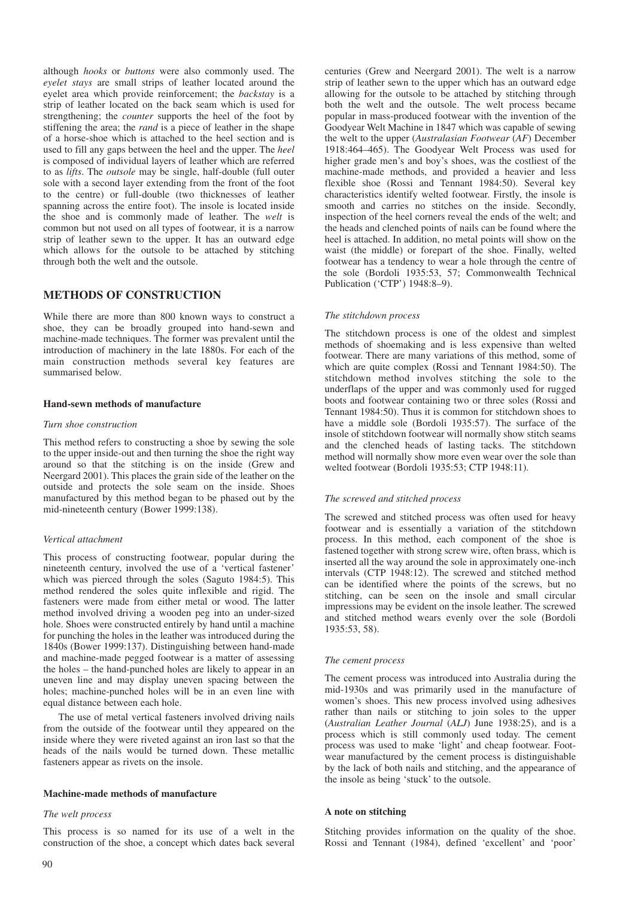although *hooks* or *buttons* were also commonly used. The *eyelet stays* are small strips of leather located around the eyelet area which provide reinforcement; the *backstay* is a strip of leather located on the back seam which is used for strengthening; the *counter* supports the heel of the foot by stiffening the area; the *rand* is a piece of leather in the shape of a horse-shoe which is attached to the heel section and is used to fill any gaps between the heel and the upper. The *heel* is composed of individual layers of leather which are referred to as *lifts*. The *outsole* may be single, half-double (full outer sole with a second layer extending from the front of the foot to the centre) or full-double (two thicknesses of leather spanning across the entire foot). The insole is located inside the shoe and is commonly made of leather. The *welt* is common but not used on all types of footwear, it is a narrow strip of leather sewn to the upper. It has an outward edge which allows for the outsole to be attached by stitching through both the welt and the outsole.

# **METHODS OF CONSTRUCTION**

While there are more than 800 known ways to construct a shoe, they can be broadly grouped into hand-sewn and machine-made techniques. The former was prevalent until the introduction of machinery in the late 1880s. For each of the main construction methods several key features are summarised below.

#### **Hand-sewn methods of manufacture**

#### *Turn shoe construction*

This method refers to constructing a shoe by sewing the sole to the upper inside-out and then turning the shoe the right way around so that the stitching is on the inside (Grew and Neergard 2001). This places the grain side of the leather on the outside and protects the sole seam on the inside. Shoes manufactured by this method began to be phased out by the mid-nineteenth century (Bower 1999:138).

#### *Vertical attachment*

This process of constructing footwear, popular during the nineteenth century, involved the use of a 'vertical fastener' which was pierced through the soles (Saguto 1984:5). This method rendered the soles quite inflexible and rigid. The fasteners were made from either metal or wood. The latter method involved driving a wooden peg into an under-sized hole. Shoes were constructed entirely by hand until a machine for punching the holes in the leather was introduced during the 1840s (Bower 1999:137). Distinguishing between hand-made and machine-made pegged footwear is a matter of assessing the holes – the hand-punched holes are likely to appear in an uneven line and may display uneven spacing between the holes; machine-punched holes will be in an even line with equal distance between each hole.

The use of metal vertical fasteners involved driving nails from the outside of the footwear until they appeared on the inside where they were riveted against an iron last so that the heads of the nails would be turned down. These metallic fasteners appear as rivets on the insole.

#### **Machine-made methods of manufacture**

#### *The welt process*

This process is so named for its use of a welt in the construction of the shoe, a concept which dates back several centuries (Grew and Neergard 2001). The welt is a narrow strip of leather sewn to the upper which has an outward edge allowing for the outsole to be attached by stitching through both the welt and the outsole. The welt process became popular in mass-produced footwear with the invention of the Goodyear Welt Machine in 1847 which was capable of sewing the welt to the upper (*Australasian Footwear* (*AF*) December 1918:464–465). The Goodyear Welt Process was used for higher grade men's and boy's shoes, was the costliest of the machine-made methods, and provided a heavier and less flexible shoe (Rossi and Tennant 1984:50). Several key characteristics identify welted footwear. Firstly, the insole is smooth and carries no stitches on the inside. Secondly, inspection of the heel corners reveal the ends of the welt; and the heads and clenched points of nails can be found where the heel is attached. In addition, no metal points will show on the waist (the middle) or forepart of the shoe. Finally, welted footwear has a tendency to wear a hole through the centre of the sole (Bordoli 1935:53, 57; Commonwealth Technical Publication ('CTP') 1948:8–9).

#### *The stitchdown process*

The stitchdown process is one of the oldest and simplest methods of shoemaking and is less expensive than welted footwear. There are many variations of this method, some of which are quite complex (Rossi and Tennant 1984:50). The stitchdown method involves stitching the sole to the underflaps of the upper and was commonly used for rugged boots and footwear containing two or three soles (Rossi and Tennant 1984:50). Thus it is common for stitchdown shoes to have a middle sole (Bordoli 1935:57). The surface of the insole of stitchdown footwear will normally show stitch seams and the clenched heads of lasting tacks. The stitchdown method will normally show more even wear over the sole than welted footwear (Bordoli 1935:53; CTP 1948:11).

#### *The screwed and stitched process*

The screwed and stitched process was often used for heavy footwear and is essentially a variation of the stitchdown process. In this method, each component of the shoe is fastened together with strong screw wire, often brass, which is inserted all the way around the sole in approximately one-inch intervals (CTP 1948:12). The screwed and stitched method can be identified where the points of the screws, but no stitching, can be seen on the insole and small circular impressions may be evident on the insole leather. The screwed and stitched method wears evenly over the sole (Bordoli 1935:53, 58).

#### *The cement process*

The cement process was introduced into Australia during the mid-1930s and was primarily used in the manufacture of women's shoes. This new process involved using adhesives rather than nails or stitching to join soles to the upper (*Australian Leather Journal* (*ALJ*) June 1938:25), and is a process which is still commonly used today. The cement process was used to make 'light' and cheap footwear. Footwear manufactured by the cement process is distinguishable by the lack of both nails and stitching, and the appearance of the insole as being 'stuck' to the outsole.

#### **A note on stitching**

Stitching provides information on the quality of the shoe. Rossi and Tennant (1984), defined 'excellent' and 'poor'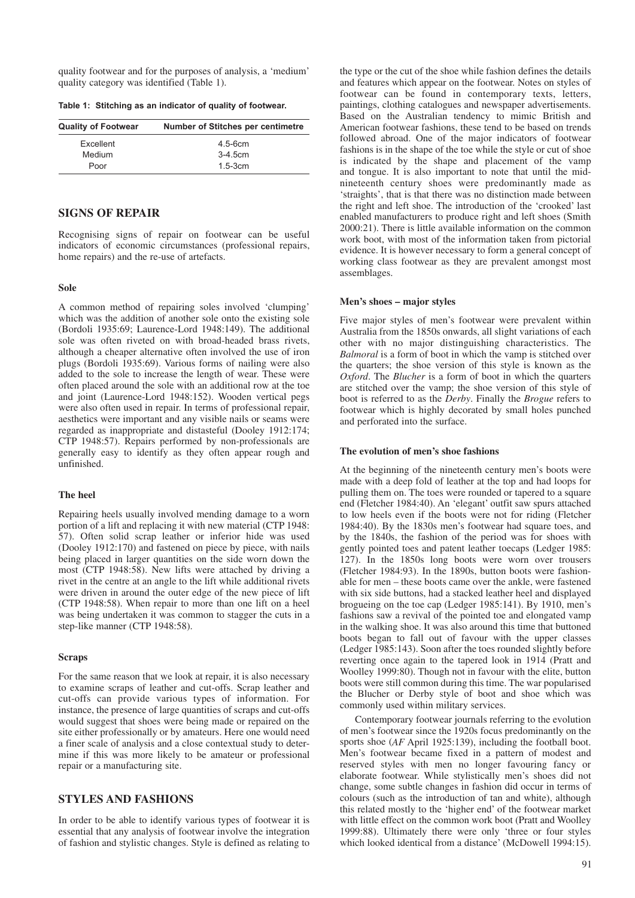quality footwear and for the purposes of analysis, a 'medium' quality category was identified (Table 1).

**Table 1: Stitching as an indicator of quality of footwear.**

| <b>Quality of Footwear</b> | <b>Number of Stitches per centimetre</b> |  |  |
|----------------------------|------------------------------------------|--|--|
| Excellent                  | $4.5 - 6cm$                              |  |  |
| Medium                     | $3-4.5cm$                                |  |  |
| Poor                       | $1.5 - 3cm$                              |  |  |

# **SIGNS OF REPAIR**

Recognising signs of repair on footwear can be useful indicators of economic circumstances (professional repairs, home repairs) and the re-use of artefacts.

## **Sole**

A common method of repairing soles involved 'clumping' which was the addition of another sole onto the existing sole (Bordoli 1935:69; Laurence-Lord 1948:149). The additional sole was often riveted on with broad-headed brass rivets, although a cheaper alternative often involved the use of iron plugs (Bordoli 1935:69). Various forms of nailing were also added to the sole to increase the length of wear. These were often placed around the sole with an additional row at the toe and joint (Laurence-Lord 1948:152). Wooden vertical pegs were also often used in repair. In terms of professional repair, aesthetics were important and any visible nails or seams were regarded as inappropriate and distasteful (Dooley 1912:174; CTP 1948:57). Repairs performed by non-professionals are generally easy to identify as they often appear rough and unfinished.

# **The heel**

Repairing heels usually involved mending damage to a worn portion of a lift and replacing it with new material (CTP 1948: 57). Often solid scrap leather or inferior hide was used (Dooley 1912:170) and fastened on piece by piece, with nails being placed in larger quantities on the side worn down the most (CTP 1948:58). New lifts were attached by driving a rivet in the centre at an angle to the lift while additional rivets were driven in around the outer edge of the new piece of lift (CTP 1948:58). When repair to more than one lift on a heel was being undertaken it was common to stagger the cuts in a step-like manner (CTP 1948:58).

## **Scraps**

For the same reason that we look at repair, it is also necessary to examine scraps of leather and cut-offs. Scrap leather and cut-offs can provide various types of information. For instance, the presence of large quantities of scraps and cut-offs would suggest that shoes were being made or repaired on the site either professionally or by amateurs. Here one would need a finer scale of analysis and a close contextual study to determine if this was more likely to be amateur or professional repair or a manufacturing site.

# **STYLES AND FASHIONS**

In order to be able to identify various types of footwear it is essential that any analysis of footwear involve the integration of fashion and stylistic changes. Style is defined as relating to

the type or the cut of the shoe while fashion defines the details and features which appear on the footwear. Notes on styles of footwear can be found in contemporary texts, letters, paintings, clothing catalogues and newspaper advertisements. Based on the Australian tendency to mimic British and American footwear fashions, these tend to be based on trends followed abroad. One of the major indicators of footwear fashions is in the shape of the toe while the style or cut of shoe is indicated by the shape and placement of the vamp and tongue. It is also important to note that until the midnineteenth century shoes were predominantly made as 'straights', that is that there was no distinction made between the right and left shoe. The introduction of the 'crooked' last enabled manufacturers to produce right and left shoes (Smith 2000:21). There is little available information on the common work boot, with most of the information taken from pictorial evidence. It is however necessary to form a general concept of working class footwear as they are prevalent amongst most assemblages.

#### **Men's shoes – major styles**

Five major styles of men's footwear were prevalent within Australia from the 1850s onwards, all slight variations of each other with no major distinguishing characteristics. The *Balmoral* is a form of boot in which the vamp is stitched over the quarters; the shoe version of this style is known as the *Oxford*. The *Blucher* is a form of boot in which the quarters are stitched over the vamp; the shoe version of this style of boot is referred to as the *Derby*. Finally the *Brogue* refers to footwear which is highly decorated by small holes punched and perforated into the surface.

#### **The evolution of men's shoe fashions**

At the beginning of the nineteenth century men's boots were made with a deep fold of leather at the top and had loops for pulling them on. The toes were rounded or tapered to a square end (Fletcher 1984:40). An 'elegant' outfit saw spurs attached to low heels even if the boots were not for riding (Fletcher 1984:40). By the 1830s men's footwear had square toes, and by the 1840s, the fashion of the period was for shoes with gently pointed toes and patent leather toecaps (Ledger 1985: 127). In the 1850s long boots were worn over trousers (Fletcher 1984:93). In the 1890s, button boots were fashionable for men – these boots came over the ankle, were fastened with six side buttons, had a stacked leather heel and displayed brogueing on the toe cap (Ledger 1985:141). By 1910, men's fashions saw a revival of the pointed toe and elongated vamp in the walking shoe. It was also around this time that buttoned boots began to fall out of favour with the upper classes (Ledger 1985:143). Soon after the toes rounded slightly before reverting once again to the tapered look in 1914 (Pratt and Woolley 1999:80). Though not in favour with the elite, button boots were still common during this time. The war popularised the Blucher or Derby style of boot and shoe which was commonly used within military services.

Contemporary footwear journals referring to the evolution of men's footwear since the 1920s focus predominantly on the sports shoe (*AF* April 1925:139), including the football boot. Men's footwear became fixed in a pattern of modest and reserved styles with men no longer favouring fancy or elaborate footwear. While stylistically men's shoes did not change, some subtle changes in fashion did occur in terms of colours (such as the introduction of tan and white), although this related mostly to the 'higher end' of the footwear market with little effect on the common work boot (Pratt and Woolley 1999:88). Ultimately there were only 'three or four styles which looked identical from a distance' (McDowell 1994:15).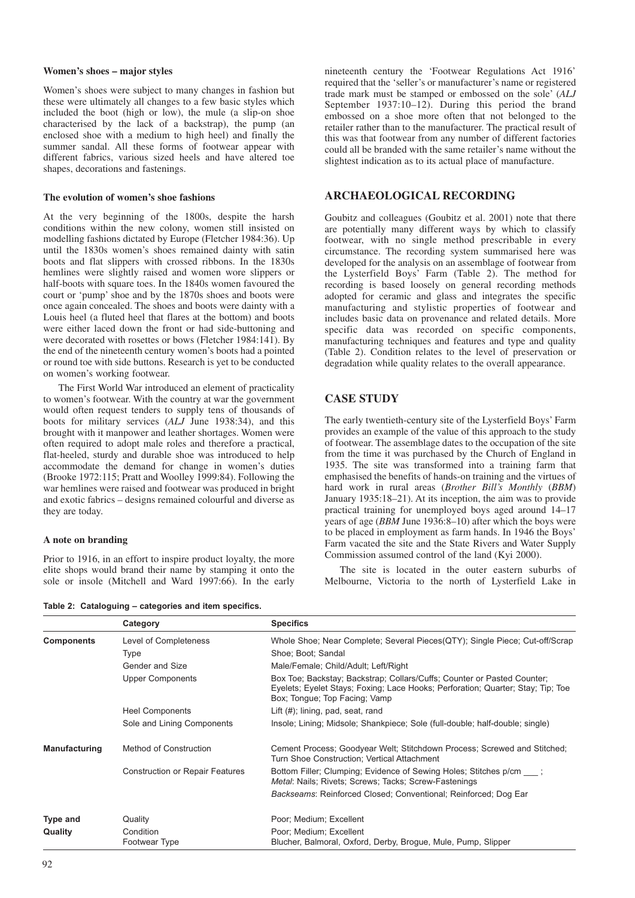#### **Women's shoes – major styles**

Women's shoes were subject to many changes in fashion but these were ultimately all changes to a few basic styles which included the boot (high or low), the mule (a slip-on shoe characterised by the lack of a backstrap), the pump (an enclosed shoe with a medium to high heel) and finally the summer sandal. All these forms of footwear appear with different fabrics, various sized heels and have altered toe shapes, decorations and fastenings.

#### **The evolution of women's shoe fashions**

At the very beginning of the 1800s, despite the harsh conditions within the new colony, women still insisted on modelling fashions dictated by Europe (Fletcher 1984:36). Up until the 1830s women's shoes remained dainty with satin boots and flat slippers with crossed ribbons. In the 1830s hemlines were slightly raised and women wore slippers or half-boots with square toes. In the 1840s women favoured the court or 'pump' shoe and by the 1870s shoes and boots were once again concealed. The shoes and boots were dainty with a Louis heel (a fluted heel that flares at the bottom) and boots were either laced down the front or had side-buttoning and were decorated with rosettes or bows (Fletcher 1984:141). By the end of the nineteenth century women's boots had a pointed or round toe with side buttons. Research is yet to be conducted on women's working footwear.

The First World War introduced an element of practicality to women's footwear. With the country at war the government would often request tenders to supply tens of thousands of boots for military services (*ALJ* June 1938:34), and this brought with it manpower and leather shortages. Women were often required to adopt male roles and therefore a practical, flat-heeled, sturdy and durable shoe was introduced to help accommodate the demand for change in women's duties (Brooke 1972:115; Pratt and Woolley 1999:84). Following the war hemlines were raised and footwear was produced in bright and exotic fabrics – designs remained colourful and diverse as they are today.

## **A note on branding**

Prior to 1916, in an effort to inspire product loyalty, the more elite shops would brand their name by stamping it onto the sole or insole (Mitchell and Ward 1997:66). In the early nineteenth century the 'Footwear Regulations Act 1916' required that the 'seller's or manufacturer's name or registered trade mark must be stamped or embossed on the sole' (*ALJ* September 1937:10–12). During this period the brand embossed on a shoe more often that not belonged to the retailer rather than to the manufacturer. The practical result of this was that footwear from any number of different factories could all be branded with the same retailer's name without the slightest indication as to its actual place of manufacture.

# **ARCHAEOLOGICAL RECORDING**

Goubitz and colleagues (Goubitz et al. 2001) note that there are potentially many different ways by which to classify footwear, with no single method prescribable in every circumstance. The recording system summarised here was developed for the analysis on an assemblage of footwear from the Lysterfield Boys' Farm (Table 2). The method for recording is based loosely on general recording methods adopted for ceramic and glass and integrates the specific manufacturing and stylistic properties of footwear and includes basic data on provenance and related details. More specific data was recorded on specific components, manufacturing techniques and features and type and quality (Table 2). Condition relates to the level of preservation or degradation while quality relates to the overall appearance.

# **CASE STUDY**

The early twentieth-century site of the Lysterfield Boys' Farm provides an example of the value of this approach to the study of footwear. The assemblage dates to the occupation of the site from the time it was purchased by the Church of England in 1935. The site was transformed into a training farm that emphasised the benefits of hands-on training and the virtues of hard work in rural areas (*Brother Bill's Monthly* (*BBM*) January 1935:18–21). At its inception, the aim was to provide practical training for unemployed boys aged around 14–17 years of age (*BBM* June 1936:8–10) after which the boys were to be placed in employment as farm hands. In 1946 the Boys' Farm vacated the site and the State Rivers and Water Supply Commission assumed control of the land (Kyi 2000).

The site is located in the outer eastern suburbs of Melbourne, Victoria to the north of Lysterfield Lake in

**Table 2: Cataloguing – categories and item specifics.**

|                      | Category                               | <b>Specifics</b>                                                                                                                                                                            |  |  |  |
|----------------------|----------------------------------------|---------------------------------------------------------------------------------------------------------------------------------------------------------------------------------------------|--|--|--|
| <b>Components</b>    | Level of Completeness                  | Whole Shoe; Near Complete; Several Pieces(QTY); Single Piece; Cut-off/Scrap                                                                                                                 |  |  |  |
|                      | Type                                   | Shoe; Boot; Sandal                                                                                                                                                                          |  |  |  |
|                      | Gender and Size                        | Male/Female; Child/Adult; Left/Right                                                                                                                                                        |  |  |  |
|                      | <b>Upper Components</b>                | Box Toe; Backstay; Backstrap; Collars/Cuffs; Counter or Pasted Counter;<br>Eyelets; Eyelet Stays; Foxing; Lace Hooks; Perforation; Quarter; Stay; Tip; Toe<br>Box; Tongue; Top Facing; Vamp |  |  |  |
|                      | <b>Heel Components</b>                 | Lift $(\#)$ ; lining, pad, seat, rand                                                                                                                                                       |  |  |  |
|                      | Sole and Lining Components             | Insole; Lining; Midsole; Shankpiece; Sole (full-double; half-double; single)                                                                                                                |  |  |  |
| <b>Manufacturing</b> | Method of Construction                 | Cement Process; Goodyear Welt; Stitchdown Process; Screwed and Stitched;<br>Turn Shoe Construction; Vertical Attachment                                                                     |  |  |  |
|                      | <b>Construction or Repair Features</b> | Bottom Filler; Clumping; Evidence of Sewing Holes; Stitches p/cm ;<br>Metal: Nails; Rivets; Screws; Tacks; Screw-Fastenings                                                                 |  |  |  |
|                      |                                        | Backseams: Reinforced Closed; Conventional; Reinforced; Dog Ear                                                                                                                             |  |  |  |
| Type and             | Quality                                | Poor; Medium; Excellent                                                                                                                                                                     |  |  |  |
| Quality              | Condition                              | Poor; Medium; Excellent                                                                                                                                                                     |  |  |  |
|                      | Footwear Type                          | Blucher, Balmoral, Oxford, Derby, Brogue, Mule, Pump, Slipper                                                                                                                               |  |  |  |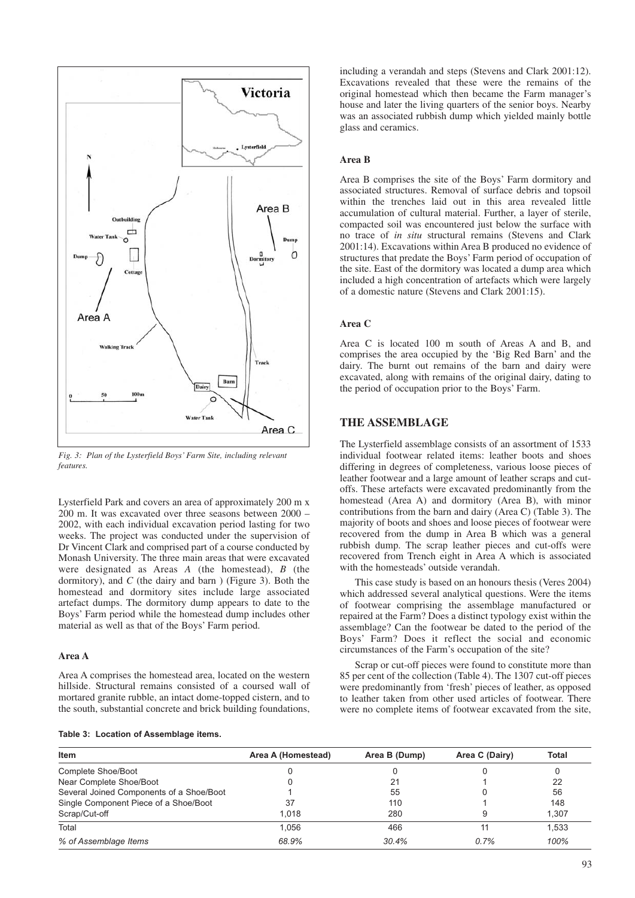

*Fig. 3: Plan of the Lysterfield Boys' Farm Site, including relevant features.*

Lysterfield Park and covers an area of approximately 200 m x 200 m. It was excavated over three seasons between 2000 – 2002, with each individual excavation period lasting for two weeks. The project was conducted under the supervision of Dr Vincent Clark and comprised part of a course conducted by Monash University. The three main areas that were excavated were designated as Areas *A* (the homestead), *B* (the dormitory), and *C* (the dairy and barn ) (Figure 3). Both the homestead and dormitory sites include large associated artefact dumps. The dormitory dump appears to date to the Boys' Farm period while the homestead dump includes other material as well as that of the Boys' Farm period.

## **Area A**

Area A comprises the homestead area, located on the western hillside. Structural remains consisted of a coursed wall of mortared granite rubble, an intact dome-topped cistern, and to the south, substantial concrete and brick building foundations,

**Table 3: Location of Assemblage items.**

including a verandah and steps (Stevens and Clark 2001:12). Excavations revealed that these were the remains of the original homestead which then became the Farm manager's house and later the living quarters of the senior boys. Nearby was an associated rubbish dump which yielded mainly bottle glass and ceramics.

# **Area B**

Area B comprises the site of the Boys' Farm dormitory and associated structures. Removal of surface debris and topsoil within the trenches laid out in this area revealed little accumulation of cultural material. Further, a layer of sterile, compacted soil was encountered just below the surface with no trace of *in situ* structural remains (Stevens and Clark 2001:14). Excavations within Area B produced no evidence of structures that predate the Boys' Farm period of occupation of the site. East of the dormitory was located a dump area which included a high concentration of artefacts which were largely of a domestic nature (Stevens and Clark 2001:15).

# **Area C**

Area C is located 100 m south of Areas A and B, and comprises the area occupied by the 'Big Red Barn' and the dairy. The burnt out remains of the barn and dairy were excavated, along with remains of the original dairy, dating to the period of occupation prior to the Boys' Farm.

# **THE ASSEMBLAGE**

The Lysterfield assemblage consists of an assortment of 1533 individual footwear related items: leather boots and shoes differing in degrees of completeness, various loose pieces of leather footwear and a large amount of leather scraps and cutoffs. These artefacts were excavated predominantly from the homestead (Area A) and dormitory (Area B), with minor contributions from the barn and dairy (Area C) (Table 3). The majority of boots and shoes and loose pieces of footwear were recovered from the dump in Area B which was a general rubbish dump. The scrap leather pieces and cut-offs were recovered from Trench eight in Area A which is associated with the homesteads' outside verandah.

This case study is based on an honours thesis (Veres 2004) which addressed several analytical questions. Were the items of footwear comprising the assemblage manufactured or repaired at the Farm? Does a distinct typology exist within the assemblage? Can the footwear be dated to the period of the Boys' Farm? Does it reflect the social and economic circumstances of the Farm's occupation of the site?

Scrap or cut-off pieces were found to constitute more than 85 per cent of the collection (Table 4). The 1307 cut-off pieces were predominantly from 'fresh' pieces of leather, as opposed to leather taken from other used articles of footwear. There were no complete items of footwear excavated from the site,

| <b>Item</b>                              | Area A (Homestead) | Area B (Dump) | Area C (Dairy) | Total |  |
|------------------------------------------|--------------------|---------------|----------------|-------|--|
| Complete Shoe/Boot                       |                    |               |                |       |  |
| Near Complete Shoe/Boot                  |                    | 21            |                | 22    |  |
| Several Joined Components of a Shoe/Boot |                    | 55            |                | 56    |  |
| Single Component Piece of a Shoe/Boot    | 37                 | 110           |                | 148   |  |
| Scrap/Cut-off                            | 1.018              | 280           |                | 1.307 |  |
| Total                                    | 1.056              | 466           |                | 1,533 |  |
| % of Assemblage Items                    | 68.9%              | 30.4%         | 0.7%           | 100%  |  |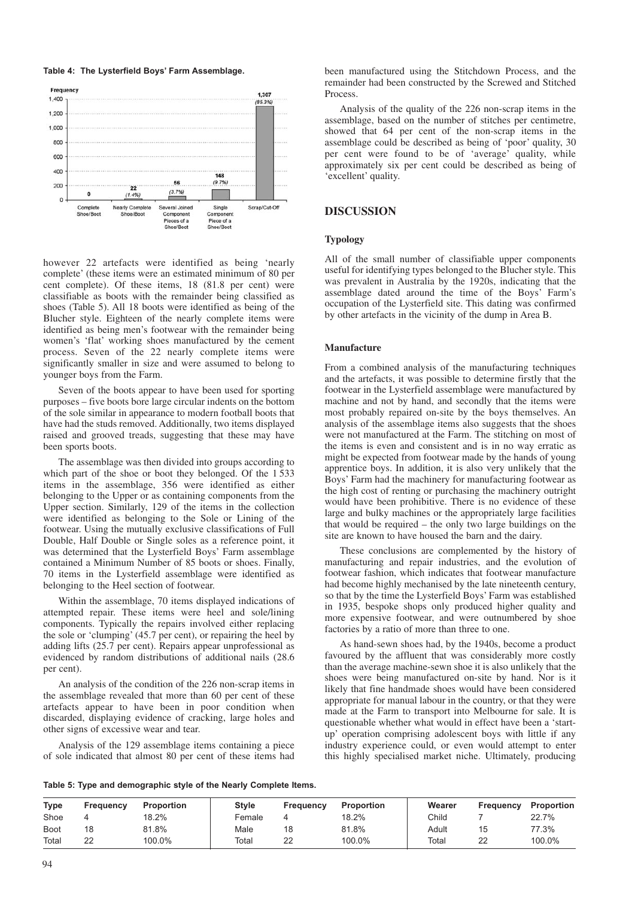**Table 4: The Lysterfield Boys' Farm Assemblage.**



however 22 artefacts were identified as being 'nearly complete' (these items were an estimated minimum of 80 per cent complete). Of these items, 18 (81.8 per cent) were classifiable as boots with the remainder being classified as shoes (Table 5). All 18 boots were identified as being of the Blucher style. Eighteen of the nearly complete items were identified as being men's footwear with the remainder being women's 'flat' working shoes manufactured by the cement process. Seven of the 22 nearly complete items were significantly smaller in size and were assumed to belong to younger boys from the Farm.

Seven of the boots appear to have been used for sporting purposes – five boots bore large circular indents on the bottom of the sole similar in appearance to modern football boots that have had the studs removed. Additionally, two items displayed raised and grooved treads, suggesting that these may have been sports boots.

The assemblage was then divided into groups according to which part of the shoe or boot they belonged. Of the 1 533 items in the assemblage, 356 were identified as either belonging to the Upper or as containing components from the Upper section. Similarly, 129 of the items in the collection were identified as belonging to the Sole or Lining of the footwear. Using the mutually exclusive classifications of Full Double, Half Double or Single soles as a reference point, it was determined that the Lysterfield Boys' Farm assemblage contained a Minimum Number of 85 boots or shoes. Finally, 70 items in the Lysterfield assemblage were identified as belonging to the Heel section of footwear.

Within the assemblage, 70 items displayed indications of attempted repair. These items were heel and sole/lining components. Typically the repairs involved either replacing the sole or 'clumping' (45.7 per cent), or repairing the heel by adding lifts (25.7 per cent). Repairs appear unprofessional as evidenced by random distributions of additional nails (28.6 per cent).

An analysis of the condition of the 226 non-scrap items in the assemblage revealed that more than 60 per cent of these artefacts appear to have been in poor condition when discarded, displaying evidence of cracking, large holes and other signs of excessive wear and tear.

Analysis of the 129 assemblage items containing a piece of sole indicated that almost 80 per cent of these items had been manufactured using the Stitchdown Process, and the remainder had been constructed by the Screwed and Stitched **Process** 

Analysis of the quality of the 226 non-scrap items in the assemblage, based on the number of stitches per centimetre, showed that 64 per cent of the non-scrap items in the assemblage could be described as being of 'poor' quality, 30 per cent were found to be of 'average' quality, while approximately six per cent could be described as being of 'excellent' quality.

# **DISCUSSION**

# **Typology**

All of the small number of classifiable upper components useful for identifying types belonged to the Blucher style. This was prevalent in Australia by the 1920s, indicating that the assemblage dated around the time of the Boys' Farm's occupation of the Lysterfield site. This dating was confirmed by other artefacts in the vicinity of the dump in Area B.

#### **Manufacture**

From a combined analysis of the manufacturing techniques and the artefacts, it was possible to determine firstly that the footwear in the Lysterfield assemblage were manufactured by machine and not by hand, and secondly that the items were most probably repaired on-site by the boys themselves. An analysis of the assemblage items also suggests that the shoes were not manufactured at the Farm. The stitching on most of the items is even and consistent and is in no way erratic as might be expected from footwear made by the hands of young apprentice boys. In addition, it is also very unlikely that the Boys' Farm had the machinery for manufacturing footwear as the high cost of renting or purchasing the machinery outright would have been prohibitive. There is no evidence of these large and bulky machines or the appropriately large facilities that would be required – the only two large buildings on the site are known to have housed the barn and the dairy.

These conclusions are complemented by the history of manufacturing and repair industries, and the evolution of footwear fashion, which indicates that footwear manufacture had become highly mechanised by the late nineteenth century, so that by the time the Lysterfield Boys' Farm was established in 1935, bespoke shops only produced higher quality and more expensive footwear, and were outnumbered by shoe factories by a ratio of more than three to one.

As hand-sewn shoes had, by the 1940s, become a product favoured by the affluent that was considerably more costly than the average machine-sewn shoe it is also unlikely that the shoes were being manufactured on-site by hand. Nor is it likely that fine handmade shoes would have been considered appropriate for manual labour in the country, or that they were made at the Farm to transport into Melbourne for sale. It is questionable whether what would in effect have been a 'startup' operation comprising adolescent boys with little if any industry experience could, or even would attempt to enter this highly specialised market niche. Ultimately, producing

**Table 5: Type and demographic style of the Nearly Complete Items.**

| <b>Type</b> | Frequency | Proportion | <b>Style</b> | Frequency | <b>Proportion</b> | Wearer | Frequency | <b>Proportion</b> |
|-------------|-----------|------------|--------------|-----------|-------------------|--------|-----------|-------------------|
| Shoe        |           | 18.2%      | Female       |           | 18.2%             | Child  |           | 22.7%             |
| <b>Boot</b> | 18        | 81.8%      | Male         | 18        | 81.8%             | Adult  | 15        | 77.3%             |
| Total       | 22        | 100.0%     | Total        | 22        | 100.0%            | Total  | 22        | 100.0%            |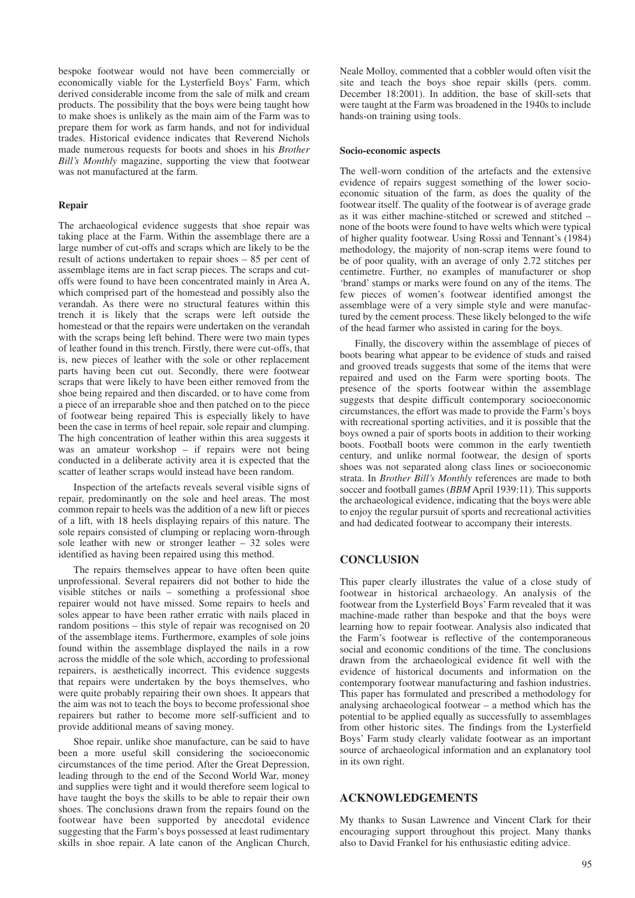bespoke footwear would not have been commercially or economically viable for the Lysterfield Boys' Farm, which derived considerable income from the sale of milk and cream products. The possibility that the boys were being taught how to make shoes is unlikely as the main aim of the Farm was to prepare them for work as farm hands, and not for individual trades. Historical evidence indicates that Reverend Nichols made numerous requests for boots and shoes in his *Brother Bill's Monthly* magazine, supporting the view that footwear was not manufactured at the farm.

## **Repair**

The archaeological evidence suggests that shoe repair was taking place at the Farm. Within the assemblage there are a large number of cut-offs and scraps which are likely to be the result of actions undertaken to repair shoes – 85 per cent of assemblage items are in fact scrap pieces. The scraps and cutoffs were found to have been concentrated mainly in Area A, which comprised part of the homestead and possibly also the verandah. As there were no structural features within this trench it is likely that the scraps were left outside the homestead or that the repairs were undertaken on the verandah with the scraps being left behind. There were two main types of leather found in this trench. Firstly, there were cut-offs, that is, new pieces of leather with the sole or other replacement parts having been cut out. Secondly, there were footwear scraps that were likely to have been either removed from the shoe being repaired and then discarded, or to have come from a piece of an irreparable shoe and then patched on to the piece of footwear being repaired This is especially likely to have been the case in terms of heel repair, sole repair and clumping. The high concentration of leather within this area suggests it was an amateur workshop – if repairs were not being conducted in a deliberate activity area it is expected that the scatter of leather scraps would instead have been random.

Inspection of the artefacts reveals several visible signs of repair, predominantly on the sole and heel areas. The most common repair to heels was the addition of a new lift or pieces of a lift, with 18 heels displaying repairs of this nature. The sole repairs consisted of clumping or replacing worn-through sole leather with new or stronger leather  $-32$  soles were identified as having been repaired using this method.

The repairs themselves appear to have often been quite unprofessional. Several repairers did not bother to hide the visible stitches or nails – something a professional shoe repairer would not have missed. Some repairs to heels and soles appear to have been rather erratic with nails placed in random positions – this style of repair was recognised on 20 of the assemblage items. Furthermore, examples of sole joins found within the assemblage displayed the nails in a row across the middle of the sole which, according to professional repairers, is aesthetically incorrect. This evidence suggests that repairs were undertaken by the boys themselves, who were quite probably repairing their own shoes. It appears that the aim was not to teach the boys to become professional shoe repairers but rather to become more self-sufficient and to provide additional means of saving money.

Shoe repair, unlike shoe manufacture, can be said to have been a more useful skill considering the socioeconomic circumstances of the time period. After the Great Depression, leading through to the end of the Second World War, money and supplies were tight and it would therefore seem logical to have taught the boys the skills to be able to repair their own shoes. The conclusions drawn from the repairs found on the footwear have been supported by anecdotal evidence suggesting that the Farm's boys possessed at least rudimentary skills in shoe repair. A late canon of the Anglican Church,

Neale Molloy, commented that a cobbler would often visit the site and teach the boys shoe repair skills (pers. comm. December 18:2001). In addition, the base of skill-sets that were taught at the Farm was broadened in the 1940s to include hands-on training using tools.

#### **Socio-economic aspects**

The well-worn condition of the artefacts and the extensive evidence of repairs suggest something of the lower socioeconomic situation of the farm, as does the quality of the footwear itself. The quality of the footwear is of average grade as it was either machine-stitched or screwed and stitched – none of the boots were found to have welts which were typical of higher quality footwear. Using Rossi and Tennant's (1984) methodology, the majority of non-scrap items were found to be of poor quality, with an average of only 2.72 stitches per centimetre. Further, no examples of manufacturer or shop 'brand' stamps or marks were found on any of the items. The few pieces of women's footwear identified amongst the assemblage were of a very simple style and were manufactured by the cement process. These likely belonged to the wife of the head farmer who assisted in caring for the boys.

Finally, the discovery within the assemblage of pieces of boots bearing what appear to be evidence of studs and raised and grooved treads suggests that some of the items that were repaired and used on the Farm were sporting boots. The presence of the sports footwear within the assemblage suggests that despite difficult contemporary socioeconomic circumstances, the effort was made to provide the Farm's boys with recreational sporting activities, and it is possible that the boys owned a pair of sports boots in addition to their working boots. Football boots were common in the early twentieth century, and unlike normal footwear, the design of sports shoes was not separated along class lines or socioeconomic strata. In *Brother Bill's Monthly* references are made to both soccer and football games (*BBM* April 1939:11). This supports the archaeological evidence, indicating that the boys were able to enjoy the regular pursuit of sports and recreational activities and had dedicated footwear to accompany their interests.

# **CONCLUSION**

This paper clearly illustrates the value of a close study of footwear in historical archaeology. An analysis of the footwear from the Lysterfield Boys' Farm revealed that it was machine-made rather than bespoke and that the boys were learning how to repair footwear. Analysis also indicated that the Farm's footwear is reflective of the contemporaneous social and economic conditions of the time. The conclusions drawn from the archaeological evidence fit well with the evidence of historical documents and information on the contemporary footwear manufacturing and fashion industries. This paper has formulated and prescribed a methodology for analysing archaeological footwear – a method which has the potential to be applied equally as successfully to assemblages from other historic sites. The findings from the Lysterfield Boys' Farm study clearly validate footwear as an important source of archaeological information and an explanatory tool in its own right.

#### **ACKNOWLEDGEMENTS**

My thanks to Susan Lawrence and Vincent Clark for their encouraging support throughout this project. Many thanks also to David Frankel for his enthusiastic editing advice.